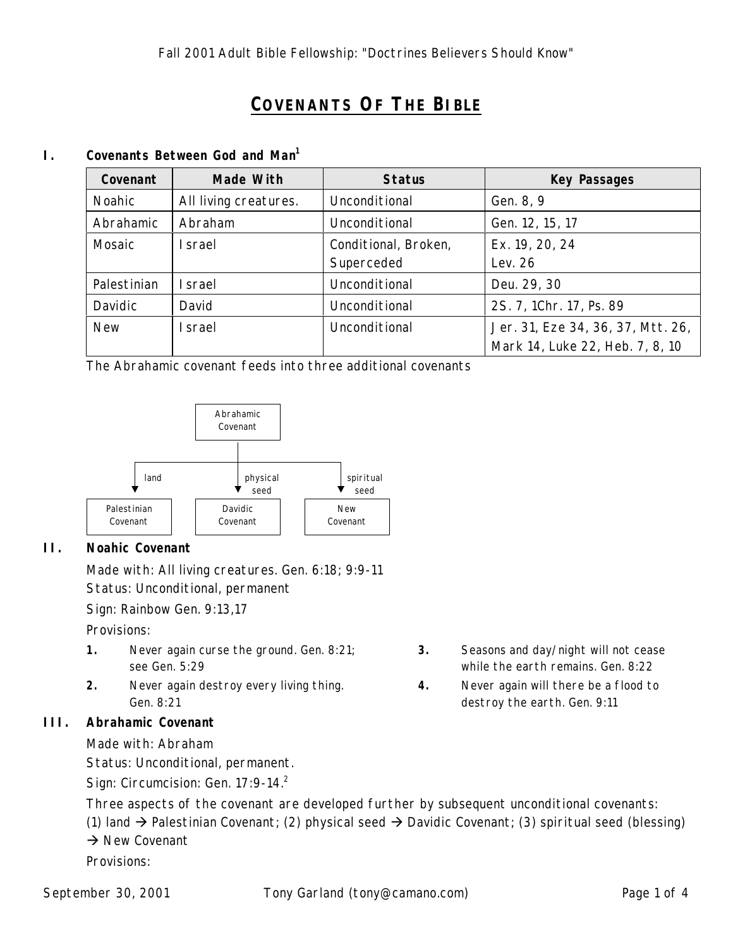# **COVENANTS OF THE BIBLE**

#### **I. Covenants Between God and Man<sup>1</sup>**

| Covenant      | Made With             | <b>Status</b>        | <b>Key Passages</b>               |
|---------------|-----------------------|----------------------|-----------------------------------|
| <b>Noahic</b> | All living creatures. | Unconditional        | Gen. 8, 9                         |
| Abrahamic     | Abraham               | Unconditional        | Gen. 12, 15, 17                   |
| Mosaic        | <b>I</b> srael        | Conditional, Broken, | Ex. 19, 20, 24                    |
|               |                       | Superceded           | Lev. 26                           |
| Palestinian   | <b>I</b> srael        | Unconditional        | Deu. 29, 30                       |
| Davidic       | David                 | Unconditional        | 2S. 7, 1Chr. 17, Ps. 89           |
| <b>New</b>    | <b>I</b> srael        | Unconditional        | Jer. 31, Eze 34, 36, 37, Mtt. 26, |
|               |                       |                      | Mark 14, Luke 22, Heb. 7, 8, 10   |

The Abrahamic covenant feeds into three additional covenants



### **II. Noahic Covenant**

Made with: All living creatures. Gen. 6:18; 9:9-11 Status: Unconditional, permanent

Sign: Rainbow Gen. 9:13,17

Provisions:

- **1.** Never again curse the ground. Gen. 8:21; see Gen. 5:29
- **2.** Never again destroy every living thing. Gen. 8:21

### **III. Abrahamic Covenant**

Made with: Abraham

Status: Unconditional, permanent.

Sign: Circumcision: Gen. 17:9-14.<sup>2</sup>

- **3.** Seasons and day/night will not cease while the earth remains. Gen. 8:22
- **4.** Never again will there be a flood to destroy the earth. Gen. 9:11

Three aspects of the covenant are developed further by subsequent unconditional covenants:

(1) land  $\rightarrow$  Palestinian Covenant; (2) physical seed  $\rightarrow$  Davidic Covenant; (3) spiritual seed (blessing)  $\rightarrow$  New Covenant

Provisions: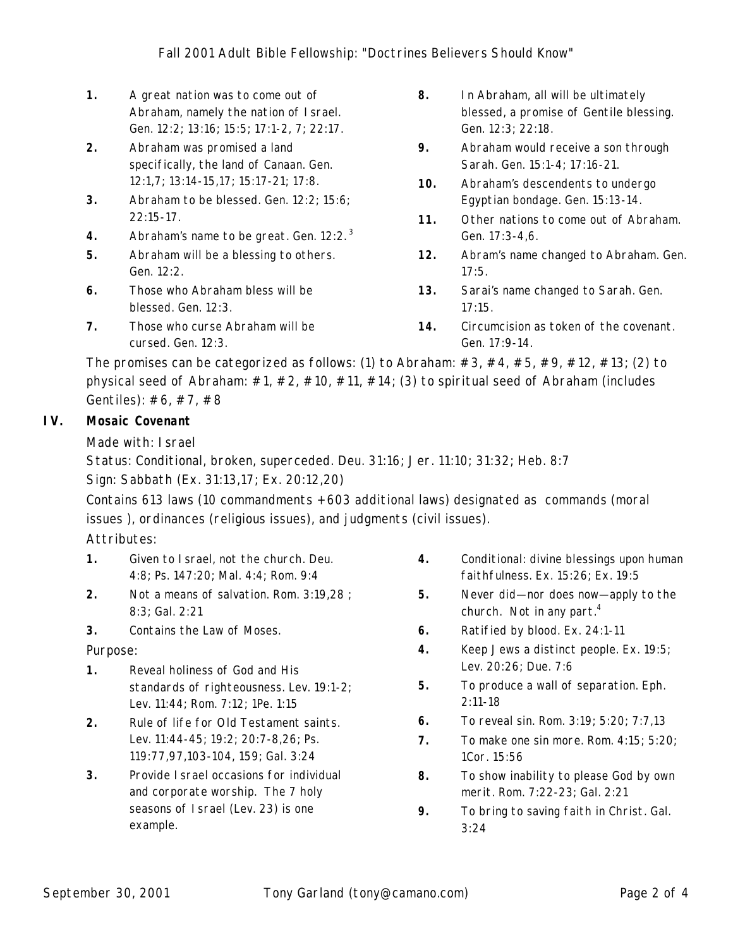- **1.** A great nation was to come out of Abraham, namely the nation of Israel. Gen. 12:2; 13:16; 15:5; 17:1-2, 7; 22:17.
- **2.** Abraham was promised a land specifically, the land of Canaan. Gen. 12:1,7; 13:14-15,17; 15:17-21; 17:8.
- **3.** Abraham to be blessed. Gen. 12:2; 15:6; 22:15-17.
- **4.** Abraham's name to be great. Gen. 12:2. <sup>3</sup>
- **5.** Abraham will be a blessing to others. Gen. 12:2.
- **6.** Those who Abraham bless will be blessed. Gen. 12:3.
- **7.** Those who curse Abraham will be cursed. Gen. 12:3.
- **8.** In Abraham, all will be ultimately blessed, a promise of Gentile blessing. Gen. 12:3; 22:18.
- **9.** Abraham would receive a son through Sarah. Gen. 15:1-4; 17:16-21.
- **10.** Abraham's descendents to undergo Egyptian bondage. Gen. 15:13-14.
- **11.** Other nations to come out of Abraham. Gen. 17:3-4,6.
- **12.** Abram's name changed to Abraham. Gen. 17:5.
- **13.** Sarai's name changed to Sarah. Gen. 17:15.
- **14.** Circumcision as token of the covenant. Gen. 17:9-14.

The promises can be categorized as follows: (1) to Abraham:  $\#3$ ,  $\#4$ ,  $\#5$ ,  $\#9$ ,  $\#12$ ,  $\#13$ ; (2) to physical seed of Abraham:  $\#1$ ,  $\#2$ ,  $\#10$ ,  $\#11$ ,  $\#14$ ; (3) to spiritual seed of Abraham (includes Gentiles): #6, #7, #8

## **IV. Mosaic Covenant**

Made with: Israel

Status: Conditional, broken, superceded. Deu. 31:16; Jer. 11:10; 31:32; Heb. 8:7

Sign: Sabbath (Ex. 31:13,17; Ex. 20:12,20)

Contains 613 laws (10 commandments + 603 additional laws) designated as commands (moral issues ), ordinances (religious issues), and judgments (civil issues).

Attributes:

- **1.** Given to Israel, not the church. Deu. 4:8; Ps. 147:20; Mal. 4:4; Rom. 9:4
- **2.** Not a means of salvation. Rom. 3:19,28 ; 8:3; Gal. 2:21
- **3.** Contains the Law of Moses.

Purpose:

- **1.** Reveal holiness of God and His standards of righteousness. Lev. 19:1-2; Lev. 11:44; Rom. 7:12; 1Pe. 1:15
- **2.** Rule of life for Old Testament saints. Lev. 11:44-45; 19:2; 20:7-8,26; Ps. 119:77,97,103-104, 159; Gal. 3:24
- **3.** Provide Israel occasions for individual and corporate worship. The 7 holy seasons of Israel (Lev. 23) is one example.
- **4.** Conditional: divine blessings upon human faithfulness. Ex. 15:26; Ex. 19:5
- **5.** Never did— nor does now— apply to the church. Not in any part.<sup>4</sup>
- **6.** Ratified by blood. Ex. 24:1-11
- **4.** Keep Jews a distinct people. Ex. 19:5; Lev. 20:26; Due. 7:6
- **5.** To produce a wall of separation. Eph. 2:11-18
- **6.** To reveal sin. Rom. 3:19; 5:20; 7:7,13
- **7.** To make one sin more. Rom. 4:15; 5:20; 1Cor. 15:56
- **8.** To show inability to please God by own merit. Rom. 7:22-23; Gal. 2:21
- **9.** To bring to saving faith in Christ. Gal. 3:24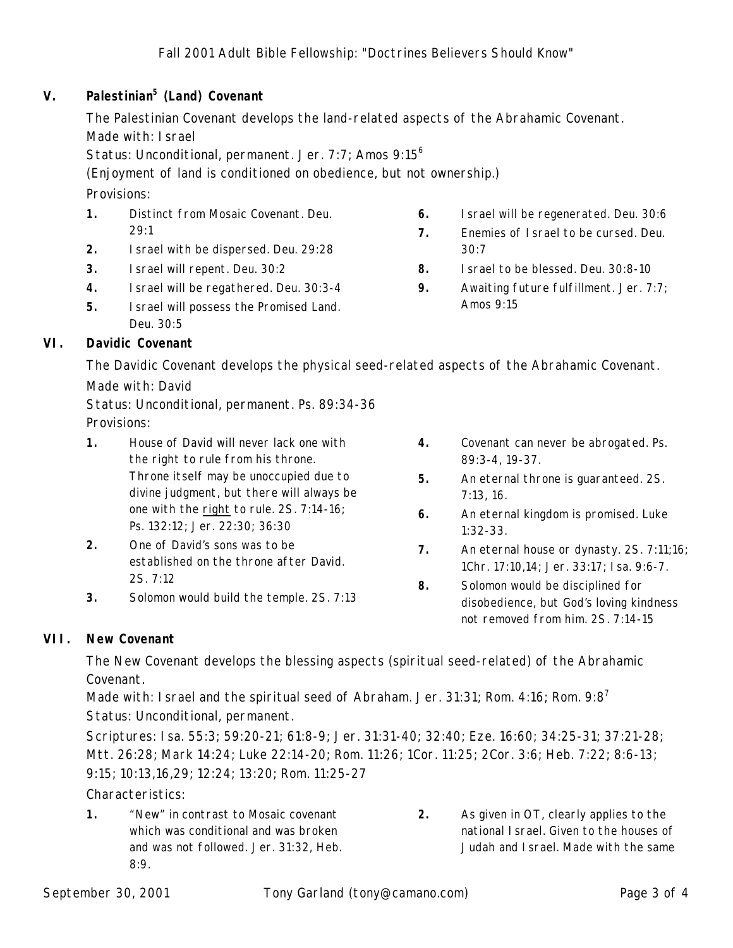## **V. Palestinian<sup>5</sup> (Land) Covenant**

The Palestinian Covenant develops the land-related aspects of the Abrahamic Covenant. Made with: Israel

Status: Unconditional, permanent. Jer. 7:7; Amos 9:15<sup>6</sup>

(*Enjoyment* of land is conditioned on obedience, but not *ownership*.)

Provisions:

- **1.** Distinct from Mosaic Covenant. Deu. 29:1
- **2.** Israel with be dispersed. Deu. 29:28
- **3.** Israel will repent. Deu. 30:2
- **4.** Israel will be regathered. Deu. 30:3-4
- **5.** Israel will possess the Promised Land. Deu. 30:5

## **VI. Davidic Covenant**

The Davidic Covenant develops the physical seed-related aspects of the Abrahamic Covenant.

Made with: David

Status: Unconditional, permanent. Ps. 89:34-36 Provisions:

- **1.** House of David will never lack one with the right to rule from his throne. Throne itself may be unoccupied due to divine judgment, but there will always be one with the right to rule. 2S. 7:14-16; Ps. 132:12; Jer. 22:30; 36:30
- **2.** One of David's sons was to be established on the throne after David. 2S. 7:12
- **3.** Solomon would build the temple. 2S. 7:13
- **6.** Israel will be regenerated. Deu. 30:6
- **7.** Enemies of Israel to be cursed. Deu. 30:7
- **8.** Israel to be blessed. Deu. 30:8-10
- **9.** Awaiting future fulfillment. Jer. 7:7; Amos 9:15

- **4.** Covenant can never be abrogated. Ps. 89:3-4, 19-37.
- **5.** An eternal throne is guaranteed. 2S. 7:13, 16.
- **6.** An eternal kingdom is promised. Luke 1:32-33.
- **7.** An eternal house or dynasty. 2S. 7:11;16; 1Chr. 17:10,14; Jer. 33:17; Isa. 9:6-7.
- **8.** Solomon would be disciplined for disobedience, but God's loving kindness not removed from him. 2S. 7:14-15

## **VII. New Covenant**

The New Covenant develops the blessing aspects (spiritual seed-related) of the Abrahamic Covenant.

Made with: I srael and the spiritual seed of Abraham. Jer. 31:31; Rom. 4:16; Rom. 9:8<sup>7</sup> Status: Unconditional, permanent.

Scriptures: Isa. 55:3; 59:20-21; 61:8-9; Jer. 31:31-40; 32:40; Eze. 16:60; 34:25-31; 37:21-28; Mtt. 26:28; Mark 14:24; Luke 22:14-20; Rom. 11:26; 1Cor. 11:25; 2Cor. 3:6; Heb. 7:22; 8:6-13; 9:15; 10:13,16,29; 12:24; 13:20; Rom. 11:25-27

### Characteristics:

- **1.** "New" in contrast to Mosaic covenant which was conditional and was broken and was not followed. Jer. 31:32, Heb. 8:9.
- **2.** As given in OT, clearly applies to the national Israel. Given to the houses of Judah and Israel. Made with the same